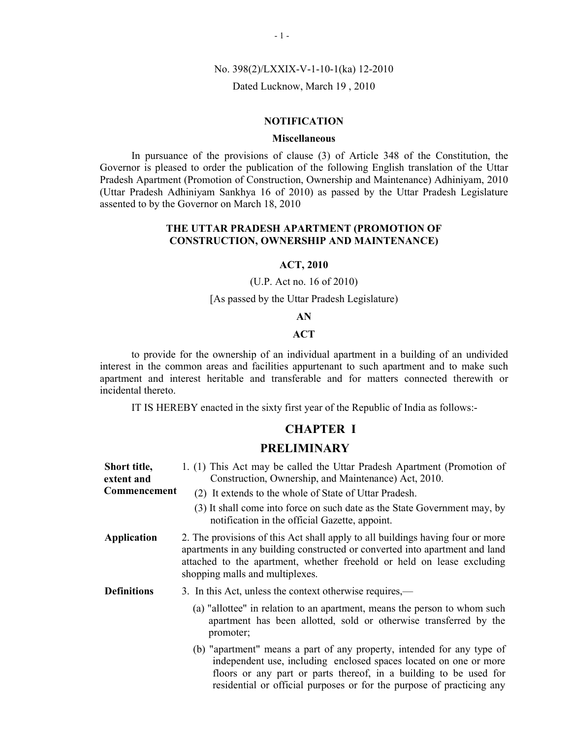#### No. 398(2)/LXXIX-V-1-10-1(ka) 12-2010

#### Dated Lucknow, March 19 , 2010

#### **NOTIFICATION**

### **Miscellaneous**

In pursuance of the provisions of clause (3) of Article 348 of the Constitution, the Governor is pleased to order the publication of the following English translation of the Uttar Pradesh Apartment (Promotion of Construction, Ownership and Maintenance) Adhiniyam, 2010 (Uttar Pradesh Adhiniyam Sankhya 16 of 2010) as passed by the Uttar Pradesh Legislature assented to by the Governor on March 18, 2010

#### THE UTTAR PRADESH APARTMENT (PROMOTION OF CONSTRUCTION, OWNERSHIP AND MAINTENANCE)

#### ACT, 2010

### (U.P. Act no. 16 of 2010)

## [As passed by the Uttar Pradesh Legislature)

#### AN

## **ACT**

to provide for the ownership of an individual apartment in a building of an undivided interest in the common areas and facilities appurtenant to such apartment and to make such apartment and interest heritable and transferable and for matters connected therewith or incidental thereto.

IT IS HEREBY enacted in the sixty first year of the Republic of India as follows:-

### CHAPTER I

#### PRELIMINARY

| Short title,<br>extent and | 1. (1) This Act may be called the Uttar Pradesh Apartment (Promotion of<br>Construction, Ownership, and Maintenance) Act, 2010.                                                                                                                                                           |
|----------------------------|-------------------------------------------------------------------------------------------------------------------------------------------------------------------------------------------------------------------------------------------------------------------------------------------|
| <b>Commencement</b>        | (2) It extends to the whole of State of Uttar Pradesh.                                                                                                                                                                                                                                    |
|                            | (3) It shall come into force on such date as the State Government may, by<br>notification in the official Gazette, appoint.                                                                                                                                                               |
| <b>Application</b>         | 2. The provisions of this Act shall apply to all buildings having four or more<br>apartments in any building constructed or converted into apartment and land<br>attached to the apartment, whether freehold or held on lease excluding<br>shopping malls and multiplexes.                |
| <b>Definitions</b>         | 3. In this Act, unless the context otherwise requires,—                                                                                                                                                                                                                                   |
|                            | (a) "allottee" in relation to an apartment, means the person to whom such<br>apartment has been allotted, sold or otherwise transferred by the<br>promoter;                                                                                                                               |
|                            | (b) "apartment" means a part of any property, intended for any type of<br>independent use, including enclosed spaces located on one or more<br>floors or any part or parts thereof, in a building to be used for<br>residential or official purposes or for the purpose of practicing any |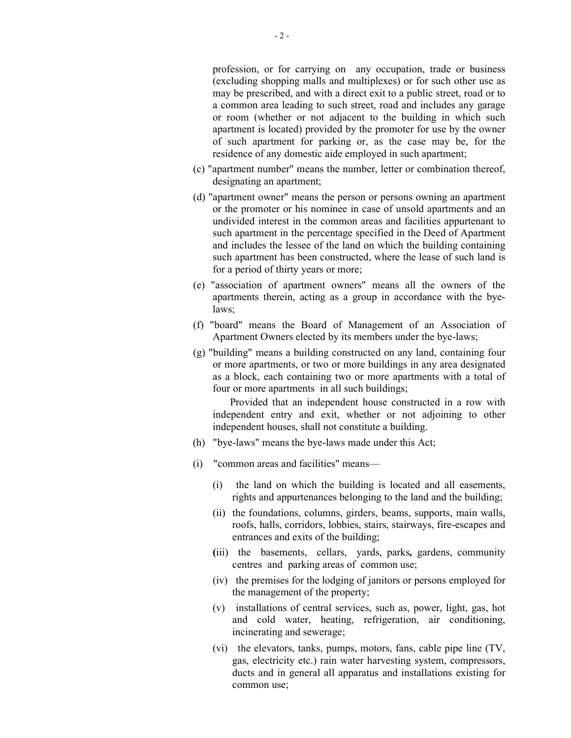profession, or for carrying on any occupation, trade or business (excluding shopping malls and multiplexes) or for such other use as may be prescribed, and with a direct exit to a public street, road or to a common area leading to such street, road and includes any garage or room (whether or not adjacent to the building in which such apartment is located) provided by the promoter for use by the owner of such apartment for parking or, as the case may be, for the residence of any domestic aide employed in such apartment;

- (c) "apartment number" means the number, letter or combination thereof, designating an apartment;
- (d) "apartment owner" means the person or persons owning an apartment or the promoter or his nominee in case of unsold apartments and an undivided interest in the common areas and facilities appurtenant to such apartment in the percentage specified in the Deed of Apartment and includes the lessee of the land on which the building containing such apartment has been constructed, where the lease of such land is for a period of thirty years or more;
- (e) "association of apartment owners" means all the owners of the apartments therein, acting as a group in accordance with the byelaws;
- (f) "board" means the Board of Management of an Association of Apartment Owners elected by its members under the bye-laws;
- (g) "building" means a building constructed on any land, containing four or more apartments, or two or more buildings in any area designated as a block, each containing two or more apartments with a total of four or more apartments in all such buildings;

 Provided that an independent house constructed in a row with independent entry and exit, whether or not adjoining to other independent houses, shall not constitute a building.

- (h) "bye-laws" means the bye-laws made under this Act;
- (i) "common areas and facilities" means—
	- (i) the land on which the building is located and all easements, rights and appurtenances belonging to the land and the building;
	- (ii) the foundations, columns, girders, beams, supports, main walls, roofs, halls, corridors, lobbies, stairs, stairways, fire-escapes and entrances and exits of the building;
	- (iii) the basements, cellars, yards, parks, gardens, community centres and parking areas of common use;
	- (iv) the premises for the lodging of janitors or persons employed for the management of the property;
	- (v) installations of central services, such as, power, light, gas, hot and cold water, heating, refrigeration, air conditioning, incinerating and sewerage;
	- (vi) the elevators, tanks, pumps, motors, fans, cable pipe line (TV, gas, electricity etc.) rain water harvesting system, compressors, ducts and in general all apparatus and installations existing for common use;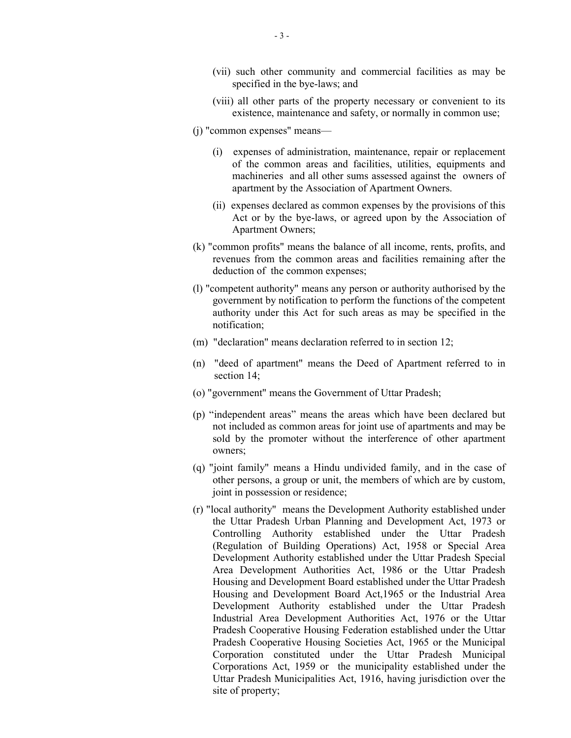- (vii) such other community and commercial facilities as may be specified in the bye-laws; and
- (viii) all other parts of the property necessary or convenient to its existence, maintenance and safety, or normally in common use;
- (j) "common expenses" means—
	- (i) expenses of administration, maintenance, repair or replacement of the common areas and facilities, utilities, equipments and machineries and all other sums assessed against the owners of apartment by the Association of Apartment Owners.
	- (ii) expenses declared as common expenses by the provisions of this Act or by the bye-laws, or agreed upon by the Association of Apartment Owners;
- (k) "common profits" means the balance of all income, rents, profits, and revenues from the common areas and facilities remaining after the deduction of the common expenses;
- (l) "competent authority" means any person or authority authorised by the government by notification to perform the functions of the competent authority under this Act for such areas as may be specified in the notification;
- (m) "declaration" means declaration referred to in section 12;
- (n) "deed of apartment" means the Deed of Apartment referred to in section 14;
- (o) "government" means the Government of Uttar Pradesh;
- (p) "independent areas" means the areas which have been declared but not included as common areas for joint use of apartments and may be sold by the promoter without the interference of other apartment owners;
- (q) "joint family" means a Hindu undivided family, and in the case of other persons, a group or unit, the members of which are by custom, joint in possession or residence;
- (r) "local authority" means the Development Authority established under the Uttar Pradesh Urban Planning and Development Act, 1973 or Controlling Authority established under the Uttar Pradesh (Regulation of Building Operations) Act, 1958 or Special Area Development Authority established under the Uttar Pradesh Special Area Development Authorities Act, 1986 or the Uttar Pradesh Housing and Development Board established under the Uttar Pradesh Housing and Development Board Act,1965 or the Industrial Area Development Authority established under the Uttar Pradesh Industrial Area Development Authorities Act, 1976 or the Uttar Pradesh Cooperative Housing Federation established under the Uttar Pradesh Cooperative Housing Societies Act, 1965 or the Municipal Corporation constituted under the Uttar Pradesh Municipal Corporations Act, 1959 or the municipality established under the Uttar Pradesh Municipalities Act, 1916, having jurisdiction over the site of property;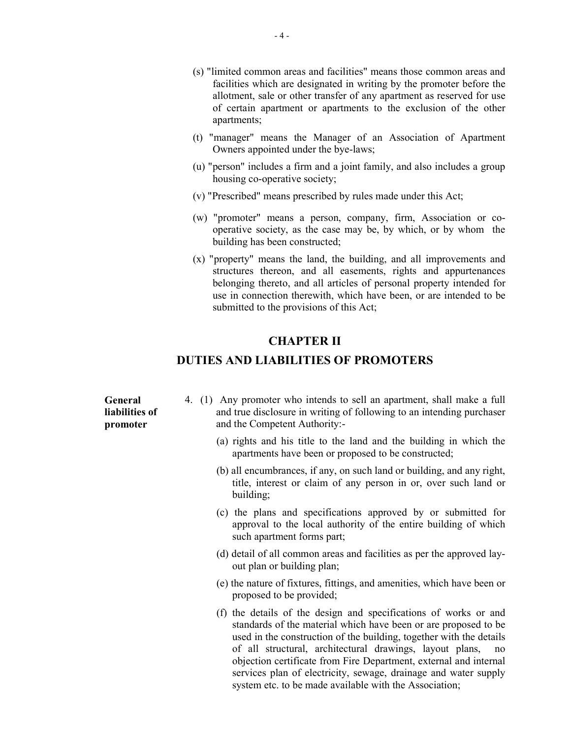- (s) "limited common areas and facilities" means those common areas and facilities which are designated in writing by the promoter before the allotment, sale or other transfer of any apartment as reserved for use of certain apartment or apartments to the exclusion of the other apartments;
- (t) "manager" means the Manager of an Association of Apartment Owners appointed under the bye-laws;
- (u) "person" includes a firm and a joint family, and also includes a group housing co-operative society;
- (v) "Prescribed" means prescribed by rules made under this Act;
- (w) "promoter" means a person, company, firm, Association or cooperative society, as the case may be, by which, or by whom the building has been constructed;
- (x) "property" means the land, the building, and all improvements and structures thereon, and all easements, rights and appurtenances belonging thereto, and all articles of personal property intended for use in connection therewith, which have been, or are intended to be submitted to the provisions of this Act;

## CHAPTER II

## DUTIES AND LIABILITIES OF PROMOTERS

| General<br>liabilities of<br>promoter | 4. (1) Any promoter who intends to sell an apartment, shall make a full<br>and true disclosure in writing of following to an intending purchaser<br>and the Competent Authority:-                                                                                            |
|---------------------------------------|------------------------------------------------------------------------------------------------------------------------------------------------------------------------------------------------------------------------------------------------------------------------------|
|                                       | (a) rights and his title to the land and the building in which the<br>apartments have been or proposed to be constructed;                                                                                                                                                    |
|                                       | (b) all encumbrances, if any, on such land or building, and any right,<br>title, interest or claim of any person in or, over such land or<br>building;                                                                                                                       |
|                                       | (c) the plans and specifications approved by or submitted for<br>approval to the local authority of the entire building of which<br>such apartment forms part;                                                                                                               |
|                                       | (d) detail of all common areas and facilities as per the approved lay-<br>out plan or building plan;                                                                                                                                                                         |
|                                       | (e) the nature of fixtures, fittings, and amenities, which have been or<br>proposed to be provided;                                                                                                                                                                          |
|                                       | (f) the details of the design and specifications of works or and<br>standards of the material which have been or are proposed to be<br>used in the construction of the building, together with the details<br>of all structural, architectural drawings, layout plans,<br>no |

objection certificate from Fire Department, external and internal services plan of electricity, sewage, drainage and water supply

system etc. to be made available with the Association;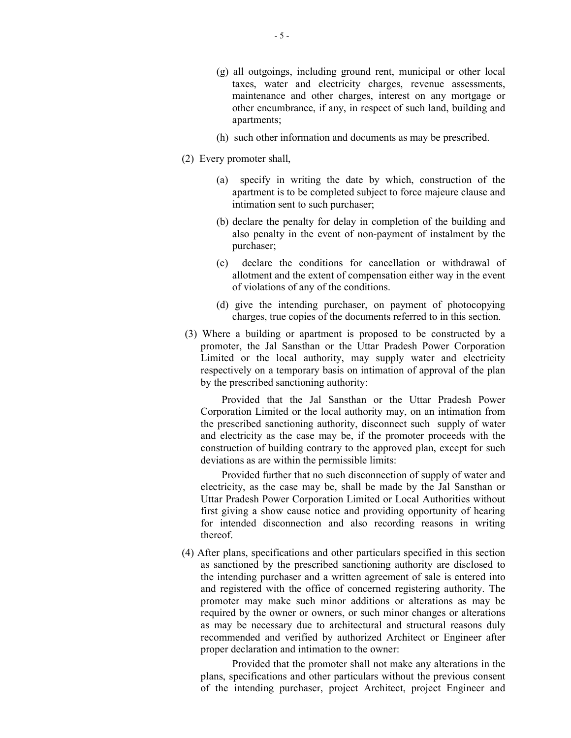- (g) all outgoings, including ground rent, municipal or other local taxes, water and electricity charges, revenue assessments, maintenance and other charges, interest on any mortgage or other encumbrance, if any, in respect of such land, building and apartments;
- (h) such other information and documents as may be prescribed.
- (2) Every promoter shall,
	- (a) specify in writing the date by which, construction of the apartment is to be completed subject to force majeure clause and intimation sent to such purchaser;
	- (b) declare the penalty for delay in completion of the building and also penalty in the event of non-payment of instalment by the purchaser;
	- (c) declare the conditions for cancellation or withdrawal of allotment and the extent of compensation either way in the event of violations of any of the conditions.
	- (d) give the intending purchaser, on payment of photocopying charges, true copies of the documents referred to in this section.
- (3) Where a building or apartment is proposed to be constructed by a promoter, the Jal Sansthan or the Uttar Pradesh Power Corporation Limited or the local authority, may supply water and electricity respectively on a temporary basis on intimation of approval of the plan by the prescribed sanctioning authority:

 Provided that the Jal Sansthan or the Uttar Pradesh Power Corporation Limited or the local authority may, on an intimation from the prescribed sanctioning authority, disconnect such supply of water and electricity as the case may be, if the promoter proceeds with the construction of building contrary to the approved plan, except for such deviations as are within the permissible limits:

 Provided further that no such disconnection of supply of water and electricity, as the case may be, shall be made by the Jal Sansthan or Uttar Pradesh Power Corporation Limited or Local Authorities without first giving a show cause notice and providing opportunity of hearing for intended disconnection and also recording reasons in writing thereof.

(4) After plans, specifications and other particulars specified in this section as sanctioned by the prescribed sanctioning authority are disclosed to the intending purchaser and a written agreement of sale is entered into and registered with the office of concerned registering authority. The promoter may make such minor additions or alterations as may be required by the owner or owners, or such minor changes or alterations as may be necessary due to architectural and structural reasons duly recommended and verified by authorized Architect or Engineer after proper declaration and intimation to the owner:

Provided that the promoter shall not make any alterations in the plans, specifications and other particulars without the previous consent of the intending purchaser, project Architect, project Engineer and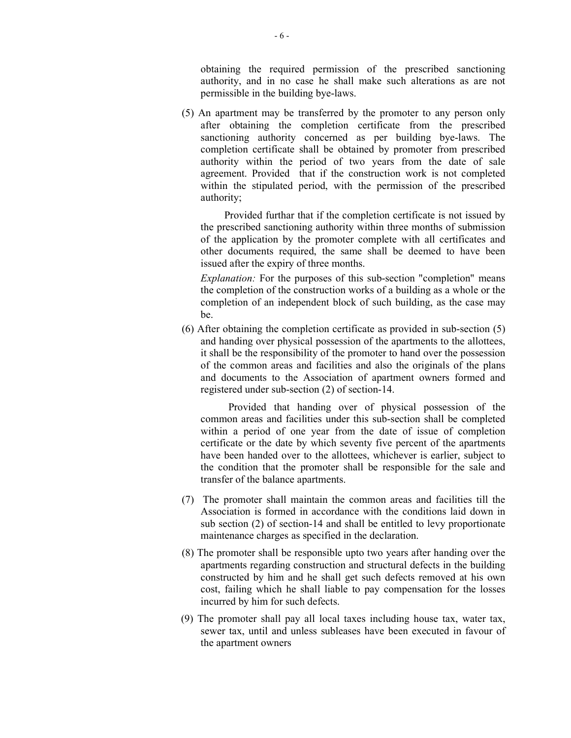obtaining the required permission of the prescribed sanctioning authority, and in no case he shall make such alterations as are not permissible in the building bye-laws.

(5) An apartment may be transferred by the promoter to any person only after obtaining the completion certificate from the prescribed sanctioning authority concerned as per building bye-laws. The completion certificate shall be obtained by promoter from prescribed authority within the period of two years from the date of sale agreement. Provided that if the construction work is not completed within the stipulated period, with the permission of the prescribed authority;

 Provided furthar that if the completion certificate is not issued by the prescribed sanctioning authority within three months of submission of the application by the promoter complete with all certificates and other documents required, the same shall be deemed to have been issued after the expiry of three months.

Explanation: For the purposes of this sub-section "completion" means the completion of the construction works of a building as a whole or the completion of an independent block of such building, as the case may be.

(6) After obtaining the completion certificate as provided in sub-section (5) and handing over physical possession of the apartments to the allottees, it shall be the responsibility of the promoter to hand over the possession of the common areas and facilities and also the originals of the plans and documents to the Association of apartment owners formed and registered under sub-section (2) of section-14.

Provided that handing over of physical possession of the common areas and facilities under this sub-section shall be completed within a period of one year from the date of issue of completion certificate or the date by which seventy five percent of the apartments have been handed over to the allottees, whichever is earlier, subject to the condition that the promoter shall be responsible for the sale and transfer of the balance apartments.

- (7) The promoter shall maintain the common areas and facilities till the Association is formed in accordance with the conditions laid down in sub section (2) of section-14 and shall be entitled to levy proportionate maintenance charges as specified in the declaration.
- (8) The promoter shall be responsible upto two years after handing over the apartments regarding construction and structural defects in the building constructed by him and he shall get such defects removed at his own cost, failing which he shall liable to pay compensation for the losses incurred by him for such defects.
- (9) The promoter shall pay all local taxes including house tax, water tax, sewer tax, until and unless subleases have been executed in favour of the apartment owners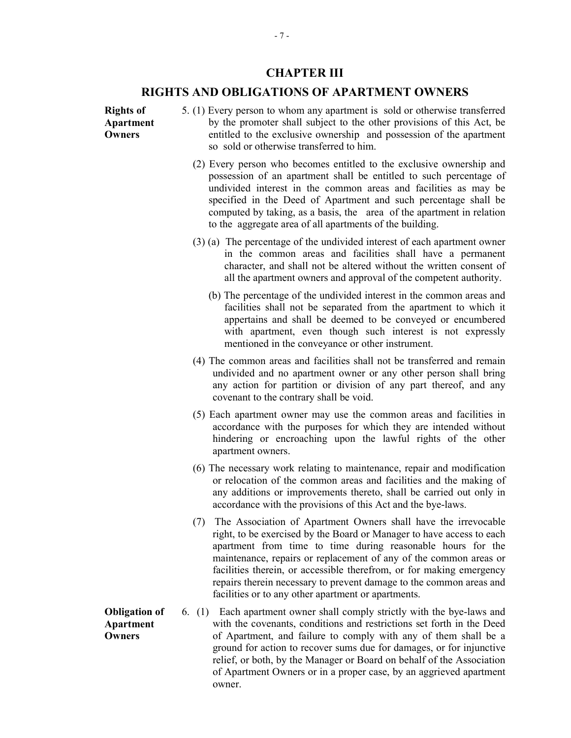## CHAPTER III

## RIGHTS AND OBLIGATIONS OF APARTMENT OWNERS

Rights of Apartment **Owners** 

Apartment **Owners** 

- 5. (1) Every person to whom any apartment is sold or otherwise transferred by the promoter shall subject to the other provisions of this Act, be entitled to the exclusive ownership and possession of the apartment so sold or otherwise transferred to him.
	- (2) Every person who becomes entitled to the exclusive ownership and possession of an apartment shall be entitled to such percentage of undivided interest in the common areas and facilities as may be specified in the Deed of Apartment and such percentage shall be computed by taking, as a basis, the area of the apartment in relation to the aggregate area of all apartments of the building.
	- (3) (a) The percentage of the undivided interest of each apartment owner in the common areas and facilities shall have a permanent character, and shall not be altered without the written consent of all the apartment owners and approval of the competent authority.
		- (b) The percentage of the undivided interest in the common areas and facilities shall not be separated from the apartment to which it appertains and shall be deemed to be conveyed or encumbered with apartment, even though such interest is not expressly mentioned in the conveyance or other instrument.
	- (4) The common areas and facilities shall not be transferred and remain undivided and no apartment owner or any other person shall bring any action for partition or division of any part thereof, and any covenant to the contrary shall be void.
	- (5) Each apartment owner may use the common areas and facilities in accordance with the purposes for which they are intended without hindering or encroaching upon the lawful rights of the other apartment owners.
	- (6) The necessary work relating to maintenance, repair and modification or relocation of the common areas and facilities and the making of any additions or improvements thereto, shall be carried out only in accordance with the provisions of this Act and the bye-laws.
	- (7) The Association of Apartment Owners shall have the irrevocable right, to be exercised by the Board or Manager to have access to each apartment from time to time during reasonable hours for the maintenance, repairs or replacement of any of the common areas or facilities therein, or accessible therefrom, or for making emergency repairs therein necessary to prevent damage to the common areas and facilities or to any other apartment or apartments.
- Obligation of 6. (1) Each apartment owner shall comply strictly with the bye-laws and with the covenants, conditions and restrictions set forth in the Deed of Apartment, and failure to comply with any of them shall be a ground for action to recover sums due for damages, or for injunctive relief, or both, by the Manager or Board on behalf of the Association of Apartment Owners or in a proper case, by an aggrieved apartment owner.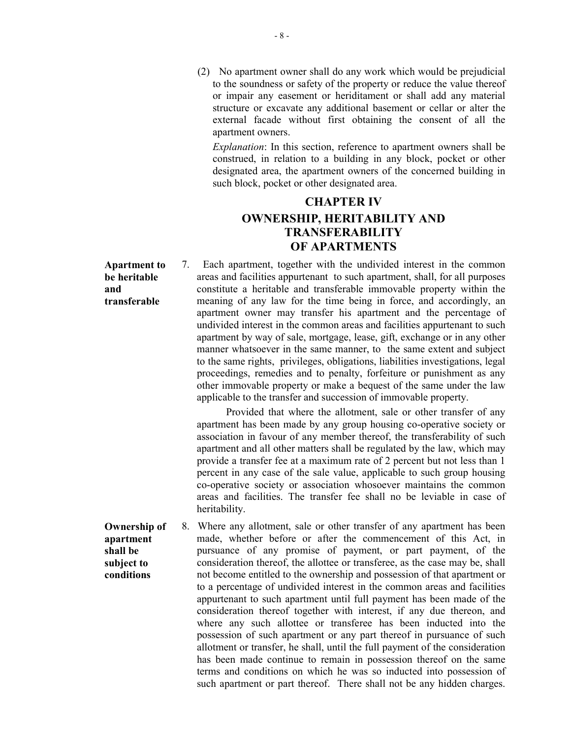(2) No apartment owner shall do any work which would be prejudicial to the soundness or safety of the property or reduce the value thereof or impair any easement or heriditament or shall add any material structure or excavate any additional basement or cellar or alter the external facade without first obtaining the consent of all the apartment owners.

Explanation: In this section, reference to apartment owners shall be construed, in relation to a building in any block, pocket or other designated area, the apartment owners of the concerned building in such block, pocket or other designated area.

# CHAPTER IV OWNERSHIP, HERITABILITY AND TRANSFERABILITY OF APARTMENTS

Apartment to be heritable and transferable

7. Each apartment, together with the undivided interest in the common areas and facilities appurtenant to such apartment, shall, for all purposes constitute a heritable and transferable immovable property within the meaning of any law for the time being in force, and accordingly, an apartment owner may transfer his apartment and the percentage of undivided interest in the common areas and facilities appurtenant to such apartment by way of sale, mortgage, lease, gift, exchange or in any other manner whatsoever in the same manner, to the same extent and subject to the same rights, privileges, obligations, liabilities investigations, legal proceedings, remedies and to penalty, forfeiture or punishment as any other immovable property or make a bequest of the same under the law applicable to the transfer and succession of immovable property.

Provided that where the allotment, sale or other transfer of any apartment has been made by any group housing co-operative society or association in favour of any member thereof, the transferability of such apartment and all other matters shall be regulated by the law, which may provide a transfer fee at a maximum rate of 2 percent but not less than 1 percent in any case of the sale value, applicable to such group housing co-operative society or association whosoever maintains the common areas and facilities. The transfer fee shall no be leviable in case of heritability.

Ownership of apartment shall be subject to conditions 8. Where any allotment, sale or other transfer of any apartment has been made, whether before or after the commencement of this Act, in pursuance of any promise of payment, or part payment, of the consideration thereof, the allottee or transferee, as the case may be, shall not become entitled to the ownership and possession of that apartment or to a percentage of undivided interest in the common areas and facilities appurtenant to such apartment until full payment has been made of the consideration thereof together with interest, if any due thereon, and where any such allottee or transferee has been inducted into the possession of such apartment or any part thereof in pursuance of such allotment or transfer, he shall, until the full payment of the consideration has been made continue to remain in possession thereof on the same terms and conditions on which he was so inducted into possession of such apartment or part thereof. There shall not be any hidden charges.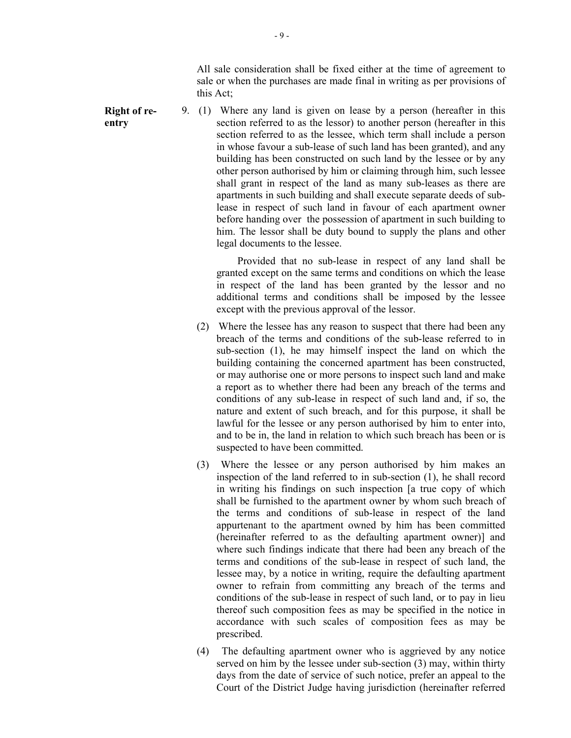All sale consideration shall be fixed either at the time of agreement to sale or when the purchases are made final in writing as per provisions of this Act;

Right of reentry

9. (1) Where any land is given on lease by a person (hereafter in this section referred to as the lessor) to another person (hereafter in this section referred to as the lessee, which term shall include a person in whose favour a sub-lease of such land has been granted), and any building has been constructed on such land by the lessee or by any other person authorised by him or claiming through him, such lessee shall grant in respect of the land as many sub-leases as there are apartments in such building and shall execute separate deeds of sublease in respect of such land in favour of each apartment owner before handing over the possession of apartment in such building to him. The lessor shall be duty bound to supply the plans and other legal documents to the lessee.

> Provided that no sub-lease in respect of any land shall be granted except on the same terms and conditions on which the lease in respect of the land has been granted by the lessor and no additional terms and conditions shall be imposed by the lessee except with the previous approval of the lessor.

- (2) Where the lessee has any reason to suspect that there had been any breach of the terms and conditions of the sub-lease referred to in sub-section (1), he may himself inspect the land on which the building containing the concerned apartment has been constructed, or may authorise one or more persons to inspect such land and make a report as to whether there had been any breach of the terms and conditions of any sub-lease in respect of such land and, if so, the nature and extent of such breach, and for this purpose, it shall be lawful for the lessee or any person authorised by him to enter into, and to be in, the land in relation to which such breach has been or is suspected to have been committed.
- (3) Where the lessee or any person authorised by him makes an inspection of the land referred to in sub-section (1), he shall record in writing his findings on such inspection [a true copy of which shall be furnished to the apartment owner by whom such breach of the terms and conditions of sub-lease in respect of the land appurtenant to the apartment owned by him has been committed (hereinafter referred to as the defaulting apartment owner)] and where such findings indicate that there had been any breach of the terms and conditions of the sub-lease in respect of such land, the lessee may, by a notice in writing, require the defaulting apartment owner to refrain from committing any breach of the terms and conditions of the sub-lease in respect of such land, or to pay in lieu thereof such composition fees as may be specified in the notice in accordance with such scales of composition fees as may be prescribed.
- (4) The defaulting apartment owner who is aggrieved by any notice served on him by the lessee under sub-section (3) may, within thirty days from the date of service of such notice, prefer an appeal to the Court of the District Judge having jurisdiction (hereinafter referred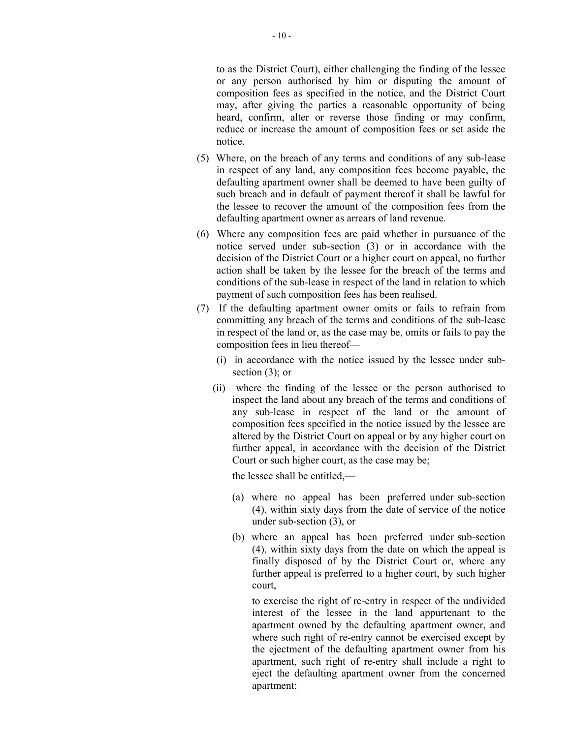to as the District Court), either challenging the finding of the lessee or any person authorised by him or disputing the amount of composition fees as specified in the notice, and the District Court may, after giving the parties a reasonable opportunity of being heard, confirm, alter or reverse those finding or may confirm, reduce or increase the amount of composition fees or set aside the notice.

- (5) Where, on the breach of any terms and conditions of any sub-lease in respect of any land, any composition fees become payable, the defaulting apartment owner shall be deemed to have been guilty of such breach and in default of payment thereof it shall be lawful for the lessee to recover the amount of the composition fees from the defaulting apartment owner as arrears of land revenue.
- (6) Where any composition fees are paid whether in pursuance of the notice served under sub-section (3) or in accordance with the decision of the District Court or a higher court on appeal, no further action shall be taken by the lessee for the breach of the terms and conditions of the sub-lease in respect of the land in relation to which payment of such composition fees has been realised.
- (7) If the defaulting apartment owner omits or fails to refrain from committing any breach of the terms and conditions of the sub-lease in respect of the land or, as the case may be, omits or fails to pay the composition fees in lieu thereof—
	- (i) in accordance with the notice issued by the lessee under subsection (3); or
	- (ii) where the finding of the lessee or the person authorised to inspect the land about any breach of the terms and conditions of any sub-lease in respect of the land or the amount of composition fees specified in the notice issued by the lessee are altered by the District Court on appeal or by any higher court on further appeal, in accordance with the decision of the District Court or such higher court, as the case may be;

the lessee shall be entitled,—

- (a) where no appeal has been preferred under sub-section (4), within sixty days from the date of service of the notice under sub-section (3), or
- (b) where an appeal has been preferred under sub-section (4), within sixty days from the date on which the appeal is finally disposed of by the District Court or, where any further appeal is preferred to a higher court, by such higher court,

to exercise the right of re-entry in respect of the undivided interest of the lessee in the land appurtenant to the apartment owned by the defaulting apartment owner, and where such right of re-entry cannot be exercised except by the ejectment of the defaulting apartment owner from his apartment, such right of re-entry shall include a right to eject the defaulting apartment owner from the concerned apartment: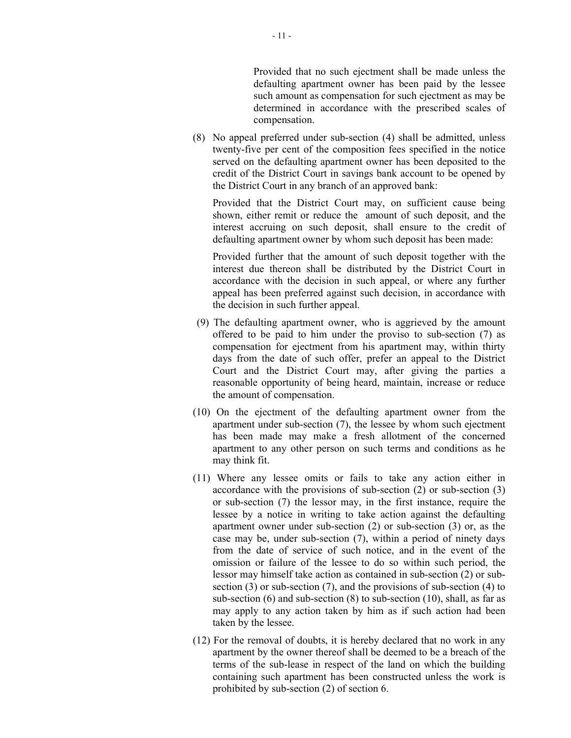Provided that no such ejectment shall be made unless the defaulting apartment owner has been paid by the lessee such amount as compensation for such ejectment as may be determined in accordance with the prescribed scales of compensation.

(8) No appeal preferred under sub-section (4) shall be admitted, unless twenty-five per cent of the composition fees specified in the notice served on the defaulting apartment owner has been deposited to the credit of the District Court in savings bank account to be opened by the District Court in any branch of an approved bank:

Provided that the District Court may, on sufficient cause being shown, either remit or reduce the amount of such deposit, and the interest accruing on such deposit, shall ensure to the credit of defaulting apartment owner by whom such deposit has been made:

Provided further that the amount of such deposit together with the interest due thereon shall be distributed by the District Court in accordance with the decision in such appeal, or where any further appeal has been preferred against such decision, in accordance with the decision in such further appeal.

- (9) The defaulting apartment owner, who is aggrieved by the amount offered to be paid to him under the proviso to sub-section (7) as compensation for ejectment from his apartment may, within thirty days from the date of such offer, prefer an appeal to the District Court and the District Court may, after giving the parties a reasonable opportunity of being heard, maintain, increase or reduce the amount of compensation.
- (10) On the ejectment of the defaulting apartment owner from the apartment under sub-section (7), the lessee by whom such ejectment has been made may make a fresh allotment of the concerned apartment to any other person on such terms and conditions as he may think fit.
- (11) Where any lessee omits or fails to take any action either in accordance with the provisions of sub-section (2) or sub-section (3) or sub-section (7) the lessor may, in the first instance, require the lessee by a notice in writing to take action against the defaulting apartment owner under sub-section (2) or sub-section (3) or, as the case may be, under sub-section (7), within a period of ninety days from the date of service of such notice, and in the event of the omission or failure of the lessee to do so within such period, the lessor may himself take action as contained in sub-section (2) or subsection (3) or sub-section (7), and the provisions of sub-section (4) to sub-section  $(6)$  and sub-section  $(8)$  to sub-section  $(10)$ , shall, as far as may apply to any action taken by him as if such action had been taken by the lessee.
- (12) For the removal of doubts, it is hereby declared that no work in any apartment by the owner thereof shall be deemed to be a breach of the terms of the sub-lease in respect of the land on which the building containing such apartment has been constructed unless the work is prohibited by sub-section (2) of section 6.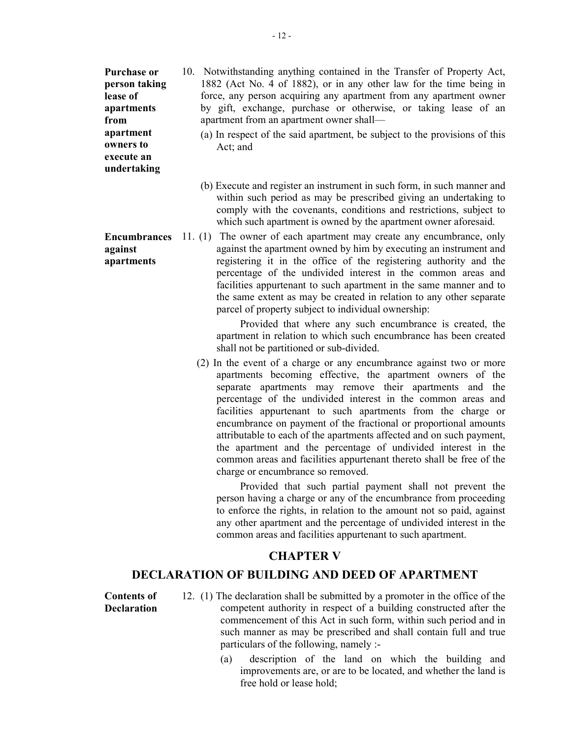Purchase or person taking lease of apartments from apartment owners to execute an undertaking

against apartments

- 10. Notwithstanding anything contained in the Transfer of Property Act, 1882 (Act No. 4 of 1882), or in any other law for the time being in force, any person acquiring any apartment from any apartment owner by gift, exchange, purchase or otherwise, or taking lease of an apartment from an apartment owner shall—
	- (a) In respect of the said apartment, be subject to the provisions of this Act; and
	- (b) Execute and register an instrument in such form, in such manner and within such period as may be prescribed giving an undertaking to comply with the covenants, conditions and restrictions, subject to which such apartment is owned by the apartment owner aforesaid.
- **Encumbrances** 11. (1) The owner of each apartment may create any encumbrance, only against the apartment owned by him by executing an instrument and registering it in the office of the registering authority and the percentage of the undivided interest in the common areas and facilities appurtenant to such apartment in the same manner and to the same extent as may be created in relation to any other separate parcel of property subject to individual ownership:

 Provided that where any such encumbrance is created, the apartment in relation to which such encumbrance has been created shall not be partitioned or sub-divided.

(2) In the event of a charge or any encumbrance against two or more apartments becoming effective, the apartment owners of the separate apartments may remove their apartments and the percentage of the undivided interest in the common areas and facilities appurtenant to such apartments from the charge or encumbrance on payment of the fractional or proportional amounts attributable to each of the apartments affected and on such payment, the apartment and the percentage of undivided interest in the common areas and facilities appurtenant thereto shall be free of the charge or encumbrance so removed.

 Provided that such partial payment shall not prevent the person having a charge or any of the encumbrance from proceeding to enforce the rights, in relation to the amount not so paid, against any other apartment and the percentage of undivided interest in the common areas and facilities appurtenant to such apartment.

## CHAPTER V

## DECLARATION OF BUILDING AND DEED OF APARTMENT

Contents of **Declaration** 

- 12. (1) The declaration shall be submitted by a promoter in the office of the competent authority in respect of a building constructed after the commencement of this Act in such form, within such period and in such manner as may be prescribed and shall contain full and true particulars of the following, namely :-
	- (a) description of the land on which the building and improvements are, or are to be located, and whether the land is free hold or lease hold;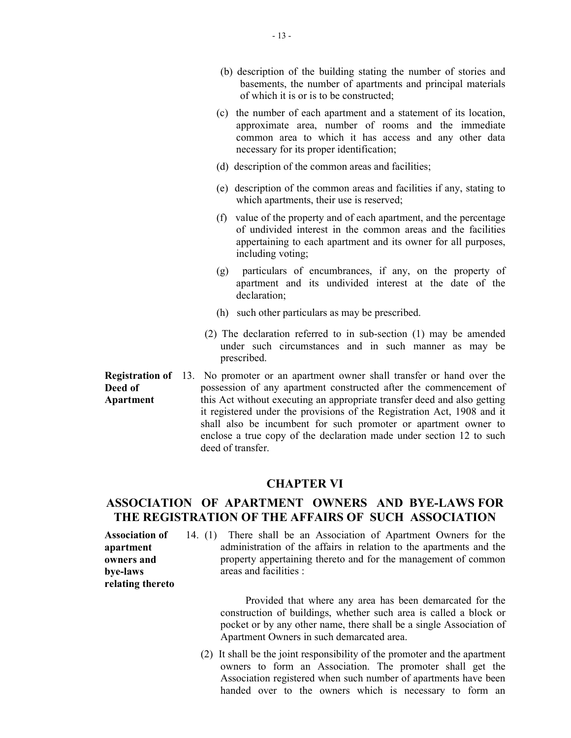- (b) description of the building stating the number of stories and basements, the number of apartments and principal materials of which it is or is to be constructed;
- (c) the number of each apartment and a statement of its location, approximate area, number of rooms and the immediate common area to which it has access and any other data necessary for its proper identification;
- (d) description of the common areas and facilities;
- (e) description of the common areas and facilities if any, stating to which apartments, their use is reserved;
- (f) value of the property and of each apartment, and the percentage of undivided interest in the common areas and the facilities appertaining to each apartment and its owner for all purposes, including voting;
- (g) particulars of encumbrances, if any, on the property of apartment and its undivided interest at the date of the declaration;
- (h) such other particulars as may be prescribed.
- (2) The declaration referred to in sub-section (1) may be amended under such circumstances and in such manner as may be prescribed.

**Registration of** 13. No promoter or an apartment owner shall transfer or hand over the Deed of Apartment possession of any apartment constructed after the commencement of this Act without executing an appropriate transfer deed and also getting it registered under the provisions of the Registration Act, 1908 and it shall also be incumbent for such promoter or apartment owner to enclose a true copy of the declaration made under section 12 to such deed of transfer.

## CHAPTER VI

# ASSOCIATION OF APARTMENT OWNERS AND BYE-LAWS FOR THE REGISTRATION OF THE AFFAIRS OF SUCH ASSOCIATION

Association of apartment owners and bye-laws relating thereto 14. (1) There shall be an Association of Apartment Owners for the administration of the affairs in relation to the apartments and the property appertaining thereto and for the management of common areas and facilities :

> Provided that where any area has been demarcated for the construction of buildings, whether such area is called a block or pocket or by any other name, there shall be a single Association of Apartment Owners in such demarcated area.

(2) It shall be the joint responsibility of the promoter and the apartment owners to form an Association. The promoter shall get the Association registered when such number of apartments have been handed over to the owners which is necessary to form an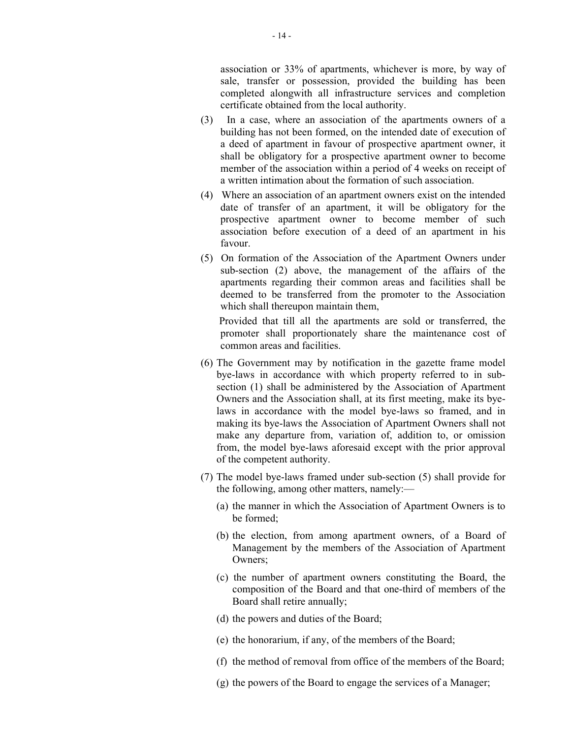association or 33% of apartments, whichever is more, by way of sale, transfer or possession, provided the building has been completed alongwith all infrastructure services and completion certificate obtained from the local authority.

- (3) In a case, where an association of the apartments owners of a building has not been formed, on the intended date of execution of a deed of apartment in favour of prospective apartment owner, it shall be obligatory for a prospective apartment owner to become member of the association within a period of 4 weeks on receipt of a written intimation about the formation of such association.
- (4) Where an association of an apartment owners exist on the intended date of transfer of an apartment, it will be obligatory for the prospective apartment owner to become member of such association before execution of a deed of an apartment in his favour.
- (5) On formation of the Association of the Apartment Owners under sub-section (2) above, the management of the affairs of the apartments regarding their common areas and facilities shall be deemed to be transferred from the promoter to the Association which shall thereupon maintain them,

 Provided that till all the apartments are sold or transferred, the promoter shall proportionately share the maintenance cost of common areas and facilities.

- (6) The Government may by notification in the gazette frame model bye-laws in accordance with which property referred to in subsection (1) shall be administered by the Association of Apartment Owners and the Association shall, at its first meeting, make its byelaws in accordance with the model bye-laws so framed, and in making its bye-laws the Association of Apartment Owners shall not make any departure from, variation of, addition to, or omission from, the model bye-laws aforesaid except with the prior approval of the competent authority.
- (7) The model bye-laws framed under sub-section (5) shall provide for the following, among other matters, namely:—
	- (a) the manner in which the Association of Apartment Owners is to be formed;
	- (b) the election, from among apartment owners, of a Board of Management by the members of the Association of Apartment Owners;
	- (c) the number of apartment owners constituting the Board, the composition of the Board and that one-third of members of the Board shall retire annually;
	- (d) the powers and duties of the Board;
	- (e) the honorarium, if any, of the members of the Board;
	- (f) the method of removal from office of the members of the Board;
	- (g) the powers of the Board to engage the services of a Manager;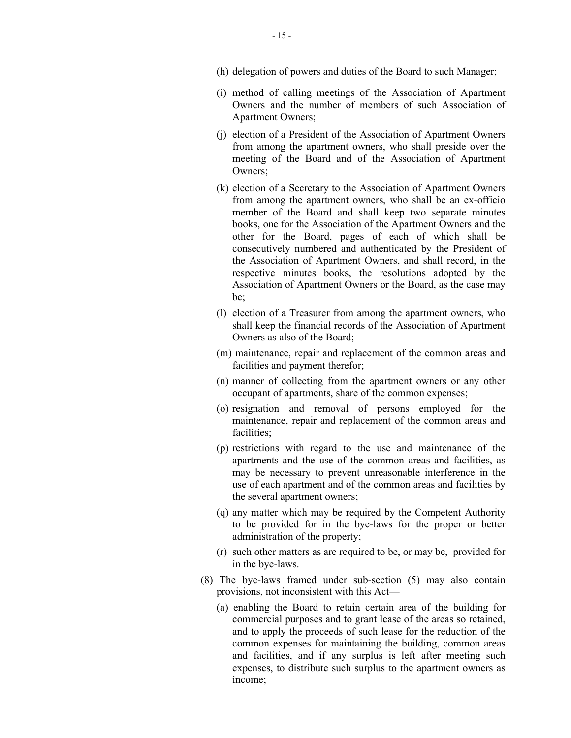- (h) delegation of powers and duties of the Board to such Manager;
- (i) method of calling meetings of the Association of Apartment Owners and the number of members of such Association of Apartment Owners;
- (j) election of a President of the Association of Apartment Owners from among the apartment owners, who shall preside over the meeting of the Board and of the Association of Apartment Owners;
- (k) election of a Secretary to the Association of Apartment Owners from among the apartment owners, who shall be an ex-officio member of the Board and shall keep two separate minutes books, one for the Association of the Apartment Owners and the other for the Board, pages of each of which shall be consecutively numbered and authenticated by the President of the Association of Apartment Owners, and shall record, in the respective minutes books, the resolutions adopted by the Association of Apartment Owners or the Board, as the case may be;
- (l) election of a Treasurer from among the apartment owners, who shall keep the financial records of the Association of Apartment Owners as also of the Board;
- (m) maintenance, repair and replacement of the common areas and facilities and payment therefor;
- (n) manner of collecting from the apartment owners or any other occupant of apartments, share of the common expenses;
- (o) resignation and removal of persons employed for the maintenance, repair and replacement of the common areas and facilities;
- (p) restrictions with regard to the use and maintenance of the apartments and the use of the common areas and facilities, as may be necessary to prevent unreasonable interference in the use of each apartment and of the common areas and facilities by the several apartment owners;
- (q) any matter which may be required by the Competent Authority to be provided for in the bye-laws for the proper or better administration of the property;
- (r) such other matters as are required to be, or may be, provided for in the bye-laws.
- (8) The bye-laws framed under sub-section (5) may also contain provisions, not inconsistent with this Act—
	- (a) enabling the Board to retain certain area of the building for commercial purposes and to grant lease of the areas so retained, and to apply the proceeds of such lease for the reduction of the common expenses for maintaining the building, common areas and facilities, and if any surplus is left after meeting such expenses, to distribute such surplus to the apartment owners as income;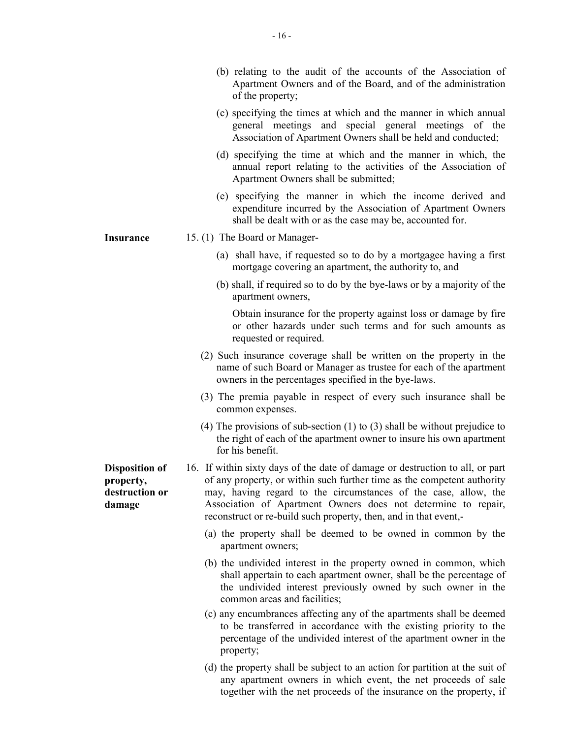- (b) relating to the audit of the accounts of the Association of Apartment Owners and of the Board, and of the administration of the property;
- (c) specifying the times at which and the manner in which annual general meetings and special general meetings of the Association of Apartment Owners shall be held and conducted;
- (d) specifying the time at which and the manner in which, the annual report relating to the activities of the Association of Apartment Owners shall be submitted;
- (e) specifying the manner in which the income derived and expenditure incurred by the Association of Apartment Owners shall be dealt with or as the case may be, accounted for.
- Insurance 15. (1) The Board or Manager-
	- (a) shall have, if requested so to do by a mortgagee having a first mortgage covering an apartment, the authority to, and
	- (b) shall, if required so to do by the bye-laws or by a majority of the apartment owners,

Obtain insurance for the property against loss or damage by fire or other hazards under such terms and for such amounts as requested or required.

- (2) Such insurance coverage shall be written on the property in the name of such Board or Manager as trustee for each of the apartment owners in the percentages specified in the bye-laws.
- (3) The premia payable in respect of every such insurance shall be common expenses.
- (4) The provisions of sub-section (1) to (3) shall be without prejudice to the right of each of the apartment owner to insure his own apartment for his benefit.

16. If within sixty days of the date of damage or destruction to all, or part of any property, or within such further time as the competent authority may, having regard to the circumstances of the case, allow, the Association of Apartment Owners does not determine to repair, reconstruct or re-build such property, then, and in that event,-

- (a) the property shall be deemed to be owned in common by the apartment owners;
- (b) the undivided interest in the property owned in common, which shall appertain to each apartment owner, shall be the percentage of the undivided interest previously owned by such owner in the common areas and facilities;
- (c) any encumbrances affecting any of the apartments shall be deemed to be transferred in accordance with the existing priority to the percentage of the undivided interest of the apartment owner in the property;
- (d) the property shall be subject to an action for partition at the suit of any apartment owners in which event, the net proceeds of sale together with the net proceeds of the insurance on the property, if

Disposition of property, destruction or damage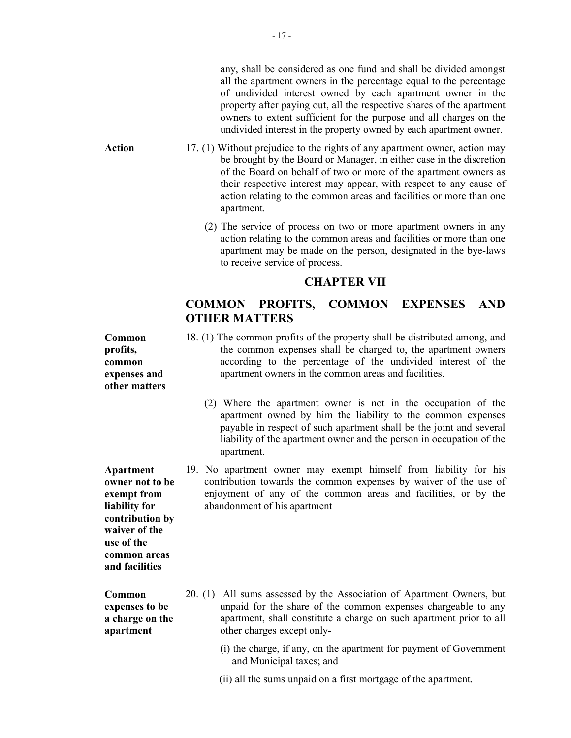any, shall be considered as one fund and shall be divided amongst all the apartment owners in the percentage equal to the percentage of undivided interest owned by each apartment owner in the property after paying out, all the respective shares of the apartment owners to extent sufficient for the purpose and all charges on the undivided interest in the property owned by each apartment owner.

- Action 17. (1) Without prejudice to the rights of any apartment owner, action may be brought by the Board or Manager, in either case in the discretion of the Board on behalf of two or more of the apartment owners as their respective interest may appear, with respect to any cause of action relating to the common areas and facilities or more than one apartment.
	- (2) The service of process on two or more apartment owners in any action relating to the common areas and facilities or more than one apartment may be made on the person, designated in the bye-laws to receive service of process.

## CHAPTER VII

# COMMON PROFITS, COMMON EXPENSES AND OTHER MATTERS

18. (1) The common profits of the property shall be distributed among, and the common expenses shall be charged to, the apartment owners according to the percentage of the undivided interest of the apartment owners in the common areas and facilities.

- (2) Where the apartment owner is not in the occupation of the apartment owned by him the liability to the common expenses payable in respect of such apartment shall be the joint and several liability of the apartment owner and the person in occupation of the apartment.
- 19. No apartment owner may exempt himself from liability for his contribution towards the common expenses by waiver of the use of enjoyment of any of the common areas and facilities, or by the abandonment of his apartment

- 20. (1) All sums assessed by the Association of Apartment Owners, but unpaid for the share of the common expenses chargeable to any apartment, shall constitute a charge on such apartment prior to all other charges except only-
	- (i) the charge, if any, on the apartment for payment of Government and Municipal taxes; and
	- (ii) all the sums unpaid on a first mortgage of the apartment.

Common profits, common expenses and other matters

Apartment owner not to be exempt from liability for contribution by waiver of the use of the common areas and facilities

Common expenses to be a charge on the apartment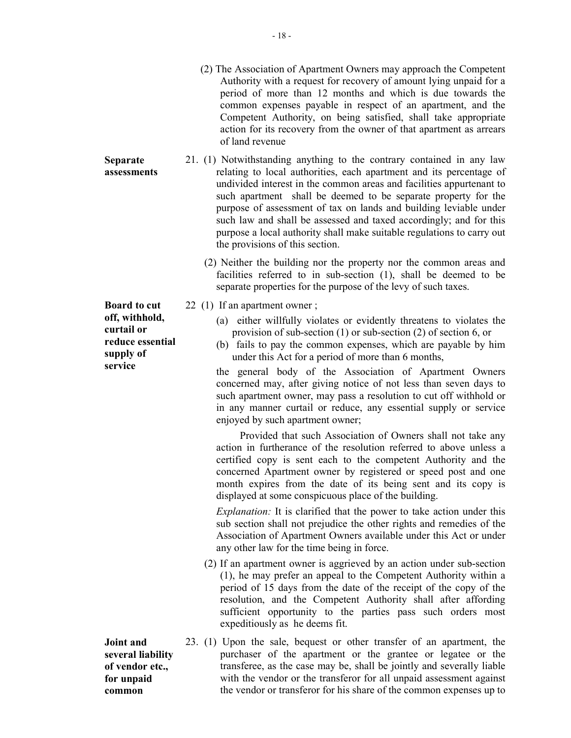- (2) The Association of Apartment Owners may approach the Competent Authority with a request for recovery of amount lying unpaid for a period of more than 12 months and which is due towards the common expenses payable in respect of an apartment, and the Competent Authority, on being satisfied, shall take appropriate action for its recovery from the owner of that apartment as arrears of land revenue
- 21. (1) Notwithstanding anything to the contrary contained in any law relating to local authorities, each apartment and its percentage of undivided interest in the common areas and facilities appurtenant to such apartment shall be deemed to be separate property for the purpose of assessment of tax on lands and building leviable under such law and shall be assessed and taxed accordingly; and for this purpose a local authority shall make suitable regulations to carry out the provisions of this section.
	- (2) Neither the building nor the property nor the common areas and facilities referred to in sub-section (1), shall be deemed to be separate properties for the purpose of the levy of such taxes.
- 22 (1) If an apartment owner ;
	- (a) either willfully violates or evidently threatens to violates the provision of sub-section (1) or sub-section (2) of section 6, or
	- (b) fails to pay the common expenses, which are payable by him under this Act for a period of more than 6 months,

the general body of the Association of Apartment Owners concerned may, after giving notice of not less than seven days to such apartment owner, may pass a resolution to cut off withhold or in any manner curtail or reduce, any essential supply or service enjoyed by such apartment owner;

 Provided that such Association of Owners shall not take any action in furtherance of the resolution referred to above unless a certified copy is sent each to the competent Authority and the concerned Apartment owner by registered or speed post and one month expires from the date of its being sent and its copy is displayed at some conspicuous place of the building.

Explanation: It is clarified that the power to take action under this sub section shall not prejudice the other rights and remedies of the Association of Apartment Owners available under this Act or under any other law for the time being in force.

- (2) If an apartment owner is aggrieved by an action under sub-section (1), he may prefer an appeal to the Competent Authority within a period of 15 days from the date of the receipt of the copy of the resolution, and the Competent Authority shall after affording sufficient opportunity to the parties pass such orders most expeditiously as he deems fit.
- 23. (1) Upon the sale, bequest or other transfer of an apartment, the purchaser of the apartment or the grantee or legatee or the transferee, as the case may be, shall be jointly and severally liable with the vendor or the transferor for all unpaid assessment against the vendor or transferor for his share of the common expenses up to

Board to cut off, withhold, curtail or reduce essential supply of service

Separate assessments

Joint and several liability of vendor etc., for unpaid common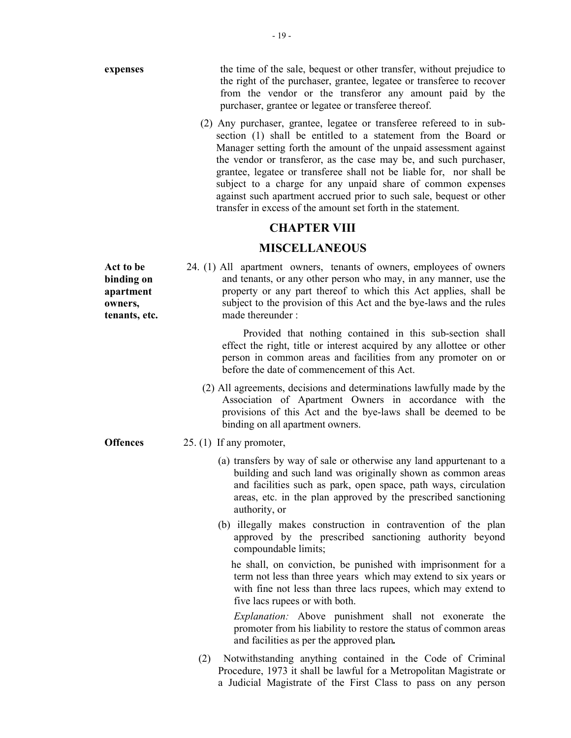expenses the time of the sale, bequest or other transfer, without prejudice to the right of the purchaser, grantee, legatee or transferee to recover from the vendor or the transferor any amount paid by the purchaser, grantee or legatee or transferee thereof.

> (2) Any purchaser, grantee, legatee or transferee refereed to in subsection (1) shall be entitled to a statement from the Board or Manager setting forth the amount of the unpaid assessment against the vendor or transferor, as the case may be, and such purchaser, grantee, legatee or transferee shall not be liable for, nor shall be subject to a charge for any unpaid share of common expenses against such apartment accrued prior to such sale, bequest or other transfer in excess of the amount set forth in the statement.

# CHAPTER VIII

## MISCELLANEOUS

24. (1) All apartment owners, tenants of owners, employees of owners and tenants, or any other person who may, in any manner, use the property or any part thereof to which this Act applies, shall be subject to the provision of this Act and the bye-laws and the rules made thereunder :

> Provided that nothing contained in this sub-section shall effect the right, title or interest acquired by any allottee or other person in common areas and facilities from any promoter on or before the date of commencement of this Act.

- (2) All agreements, decisions and determinations lawfully made by the Association of Apartment Owners in accordance with the provisions of this Act and the bye-laws shall be deemed to be binding on all apartment owners.
- Offences 25. (1) If any promoter,
	- (a) transfers by way of sale or otherwise any land appurtenant to a building and such land was originally shown as common areas and facilities such as park, open space, path ways, circulation areas, etc. in the plan approved by the prescribed sanctioning authority, or
	- (b) illegally makes construction in contravention of the plan approved by the prescribed sanctioning authority beyond compoundable limits;

 he shall, on conviction, be punished with imprisonment for a term not less than three years which may extend to six years or with fine not less than three lacs rupees, which may extend to five lacs rupees or with both.

Explanation: Above punishment shall not exonerate the promoter from his liability to restore the status of common areas and facilities as per the approved plan.

(2) Notwithstanding anything contained in the Code of Criminal Procedure, 1973 it shall be lawful for a Metropolitan Magistrate or a Judicial Magistrate of the First Class to pass on any person

Act to be binding on apartment owners, tenants, etc.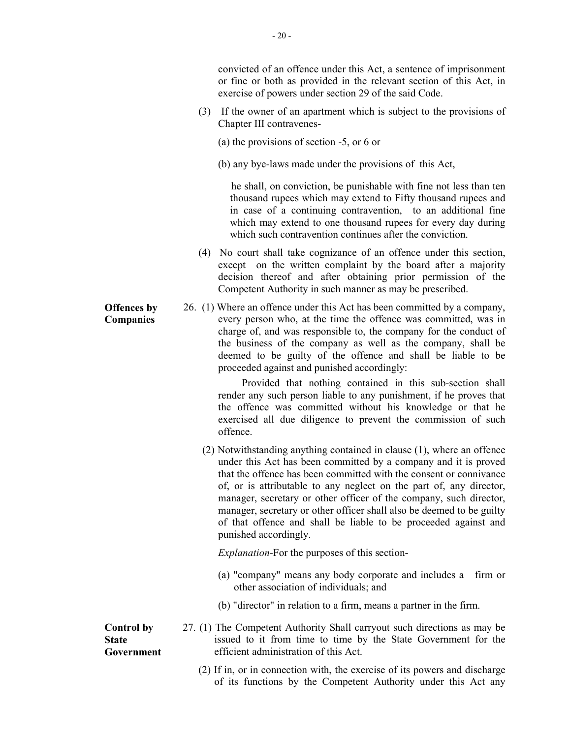convicted of an offence under this Act, a sentence of imprisonment or fine or both as provided in the relevant section of this Act, in exercise of powers under section 29 of the said Code.

- (3) If the owner of an apartment which is subject to the provisions of Chapter III contravenes-
	- (a) the provisions of section -5, or 6 or
	- (b) any bye-laws made under the provisions of this Act,

 he shall, on conviction, be punishable with fine not less than ten thousand rupees which may extend to Fifty thousand rupees and in case of a continuing contravention, to an additional fine which may extend to one thousand rupees for every day during which such contravention continues after the conviction.

- (4) No court shall take cognizance of an offence under this section, except on the written complaint by the board after a majority decision thereof and after obtaining prior permission of the Competent Authority in such manner as may be prescribed.
- 26. (1) Where an offence under this Act has been committed by a company, every person who, at the time the offence was committed, was in charge of, and was responsible to, the company for the conduct of the business of the company as well as the company, shall be deemed to be guilty of the offence and shall be liable to be proceeded against and punished accordingly:

 Provided that nothing contained in this sub-section shall render any such person liable to any punishment, if he proves that the offence was committed without his knowledge or that he exercised all due diligence to prevent the commission of such offence.

(2) Notwithstanding anything contained in clause (1), where an offence under this Act has been committed by a company and it is proved that the offence has been committed with the consent or connivance of, or is attributable to any neglect on the part of, any director, manager, secretary or other officer of the company, such director, manager, secretary or other officer shall also be deemed to be guilty of that offence and shall be liable to be proceeded against and punished accordingly.

Explanation-For the purposes of this section-

- (a) "company" means any body corporate and includes a firm or other association of individuals; and
- (b) "director" in relation to a firm, means a partner in the firm.

27. (1) The Competent Authority Shall carryout such directions as may be issued to it from time to time by the State Government for the efficient administration of this Act.

(2) If in, or in connection with, the exercise of its powers and discharge of its functions by the Competent Authority under this Act any

Offences by Companies

Control by **State** 

Government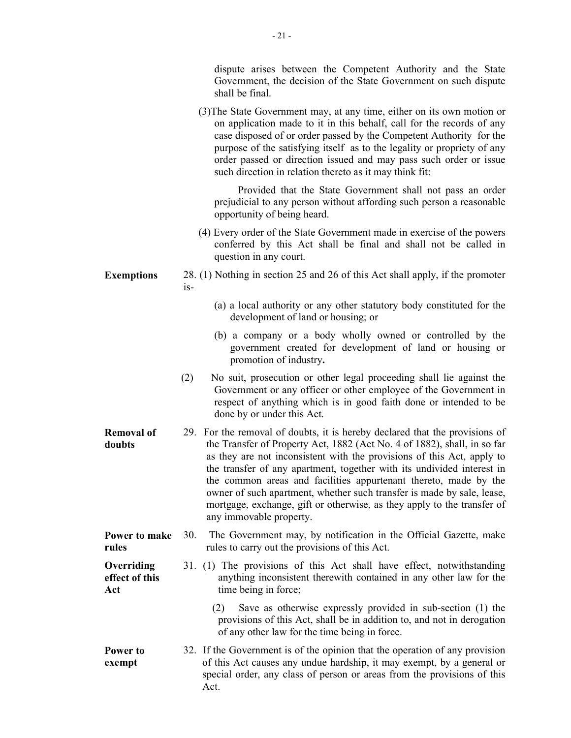|                                     |       | dispute arises between the Competent Authority and the State<br>Government, the decision of the State Government on such dispute<br>shall be final.                                                                                                                                                                                                                                                                                                                                                                                                             |
|-------------------------------------|-------|-----------------------------------------------------------------------------------------------------------------------------------------------------------------------------------------------------------------------------------------------------------------------------------------------------------------------------------------------------------------------------------------------------------------------------------------------------------------------------------------------------------------------------------------------------------------|
|                                     |       | (3) The State Government may, at any time, either on its own motion or<br>on application made to it in this behalf, call for the records of any<br>case disposed of or order passed by the Competent Authority for the<br>purpose of the satisfying itself as to the legality or propriety of any<br>order passed or direction issued and may pass such order or issue<br>such direction in relation thereto as it may think fit:                                                                                                                               |
|                                     |       | Provided that the State Government shall not pass an order<br>prejudicial to any person without affording such person a reasonable<br>opportunity of being heard.                                                                                                                                                                                                                                                                                                                                                                                               |
|                                     |       | (4) Every order of the State Government made in exercise of the powers<br>conferred by this Act shall be final and shall not be called in<br>question in any court.                                                                                                                                                                                                                                                                                                                                                                                             |
| <b>Exemptions</b>                   | $1S-$ | 28. (1) Nothing in section 25 and 26 of this Act shall apply, if the promoter                                                                                                                                                                                                                                                                                                                                                                                                                                                                                   |
|                                     |       | (a) a local authority or any other statutory body constituted for the<br>development of land or housing; or                                                                                                                                                                                                                                                                                                                                                                                                                                                     |
|                                     |       | (b) a company or a body wholly owned or controlled by the<br>government created for development of land or housing or<br>promotion of industry.                                                                                                                                                                                                                                                                                                                                                                                                                 |
|                                     | (2)   | No suit, prosecution or other legal proceeding shall lie against the<br>Government or any officer or other employee of the Government in<br>respect of anything which is in good faith done or intended to be<br>done by or under this Act.                                                                                                                                                                                                                                                                                                                     |
| <b>Removal of</b><br>doubts         |       | 29. For the removal of doubts, it is hereby declared that the provisions of<br>the Transfer of Property Act, 1882 (Act No. 4 of 1882), shall, in so far<br>as they are not inconsistent with the provisions of this Act, apply to<br>the transfer of any apartment, together with its undivided interest in<br>the common areas and facilities appurtenant thereto, made by the<br>owner of such apartment, whether such transfer is made by sale, lease,<br>mortgage, exchange, gift or otherwise, as they apply to the transfer of<br>any immovable property. |
| Power to make<br>rules              | 30.   | The Government may, by notification in the Official Gazette, make<br>rules to carry out the provisions of this Act.                                                                                                                                                                                                                                                                                                                                                                                                                                             |
| Overriding<br>effect of this<br>Act |       | 31. (1) The provisions of this Act shall have effect, notwithstanding<br>anything inconsistent therewith contained in any other law for the<br>time being in force;                                                                                                                                                                                                                                                                                                                                                                                             |
|                                     | (2)   | Save as otherwise expressly provided in sub-section (1) the<br>provisions of this Act, shall be in addition to, and not in derogation<br>of any other law for the time being in force.                                                                                                                                                                                                                                                                                                                                                                          |
| Power to<br>exempt                  | Act.  | 32. If the Government is of the opinion that the operation of any provision<br>of this Act causes any undue hardship, it may exempt, by a general or<br>special order, any class of person or areas from the provisions of this                                                                                                                                                                                                                                                                                                                                 |